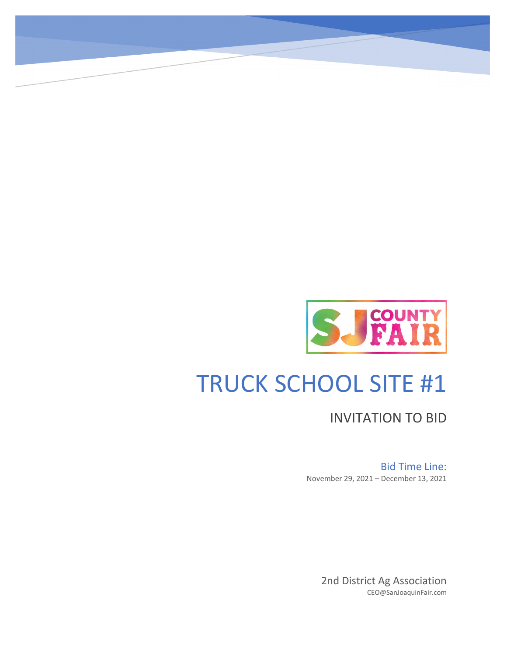

# TRUCK SCHOOL SITE #1

INVITATION TO BID

Bid Time Line: November 29, 2021 – December 13, 2021

> 2nd District Ag Association CEO@SanJoaquinFair.com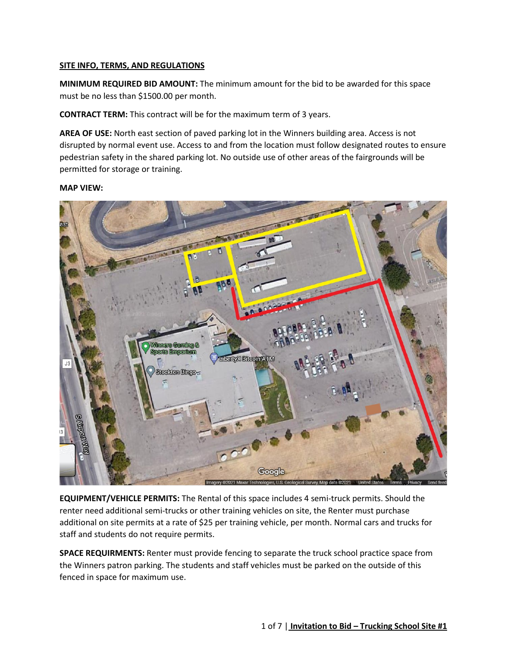#### **SITE INFO, TERMS, AND REGULATIONS**

**MINIMUM REQUIRED BID AMOUNT:** The minimum amount for the bid to be awarded for this space must be no less than \$1500.00 per month.

**CONTRACT TERM:** This contract will be for the maximum term of 3 years.

**AREA OF USE:** North east section of paved parking lot in the Winners building area. Access is not disrupted by normal event use. Access to and from the location must follow designated routes to ensure pedestrian safety in the shared parking lot. No outside use of other areas of the fairgrounds will be permitted for storage or training.

#### **MAP VIEW:**



**EQUIPMENT/VEHICLE PERMITS:** The Rental of this space includes 4 semi-truck permits. Should the renter need additional semi-trucks or other training vehicles on site, the Renter must purchase additional on site permits at a rate of \$25 per training vehicle, per month. Normal cars and trucks for staff and students do not require permits.

**SPACE REQUIRMENTS:** Renter must provide fencing to separate the truck school practice space from the Winners patron parking. The students and staff vehicles must be parked on the outside of this fenced in space for maximum use.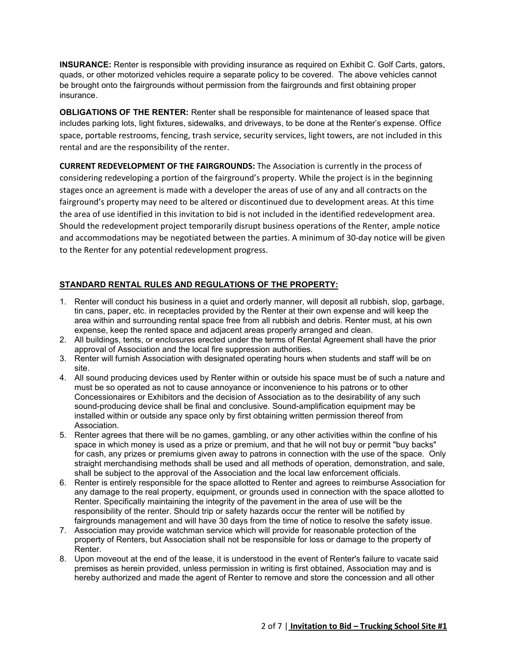**INSURANCE:** Renter is responsible with providing insurance as required on Exhibit C. Golf Carts, gators, quads, or other motorized vehicles require a separate policy to be covered. The above vehicles cannot be brought onto the fairgrounds without permission from the fairgrounds and first obtaining proper insurance.

**OBLIGATIONS OF THE RENTER:** Renter shall be responsible for maintenance of leased space that includes parking lots, light fixtures, sidewalks, and driveways, to be done at the Renter's expense. Office space, portable restrooms, fencing, trash service, security services, light towers, are not included in this rental and are the responsibility of the renter.

**CURRENT REDEVELOPMENT OF THE FAIRGROUNDS:** The Association is currently in the process of considering redeveloping a portion of the fairground's property. While the project is in the beginning stages once an agreement is made with a developer the areas of use of any and all contracts on the fairground's property may need to be altered or discontinued due to development areas. At this time the area of use identified in this invitation to bid is not included in the identified redevelopment area. Should the redevelopment project temporarily disrupt business operations of the Renter, ample notice and accommodations may be negotiated between the parties. A minimum of 30-day notice will be given to the Renter for any potential redevelopment progress.

# **STANDARD RENTAL RULES AND REGULATIONS OF THE PROPERTY:**

- 1. Renter will conduct his business in a quiet and orderly manner, will deposit all rubbish, slop, garbage, tin cans, paper, etc. in receptacles provided by the Renter at their own expense and will keep the area within and surrounding rental space free from all rubbish and debris. Renter must, at his own expense, keep the rented space and adjacent areas properly arranged and clean.
- 2. All buildings, tents, or enclosures erected under the terms of Rental Agreement shall have the prior approval of Association and the local fire suppression authorities.
- 3. Renter will furnish Association with designated operating hours when students and staff will be on site.
- 4. All sound producing devices used by Renter within or outside his space must be of such a nature and must be so operated as not to cause annoyance or inconvenience to his patrons or to other Concessionaires or Exhibitors and the decision of Association as to the desirability of any such sound-producing device shall be final and conclusive. Sound-amplification equipment may be installed within or outside any space only by first obtaining written permission thereof from Association.
- 5. Renter agrees that there will be no games, gambling, or any other activities within the confine of his space in which money is used as a prize or premium, and that he will not buy or permit "buy backs" for cash, any prizes or premiums given away to patrons in connection with the use of the space. Only straight merchandising methods shall be used and all methods of operation, demonstration, and sale, shall be subject to the approval of the Association and the local law enforcement officials.
- 6. Renter is entirely responsible for the space allotted to Renter and agrees to reimburse Association for any damage to the real property, equipment, or grounds used in connection with the space allotted to Renter. Specifically maintaining the integrity of the pavement in the area of use will be the responsibility of the renter. Should trip or safety hazards occur the renter will be notified by fairgrounds management and will have 30 days from the time of notice to resolve the safety issue.
- 7. Association may provide watchman service which will provide for reasonable protection of the property of Renters, but Association shall not be responsible for loss or damage to the property of Renter.
- 8. Upon moveout at the end of the lease, it is understood in the event of Renter's failure to vacate said premises as herein provided, unless permission in writing is first obtained, Association may and is hereby authorized and made the agent of Renter to remove and store the concession and all other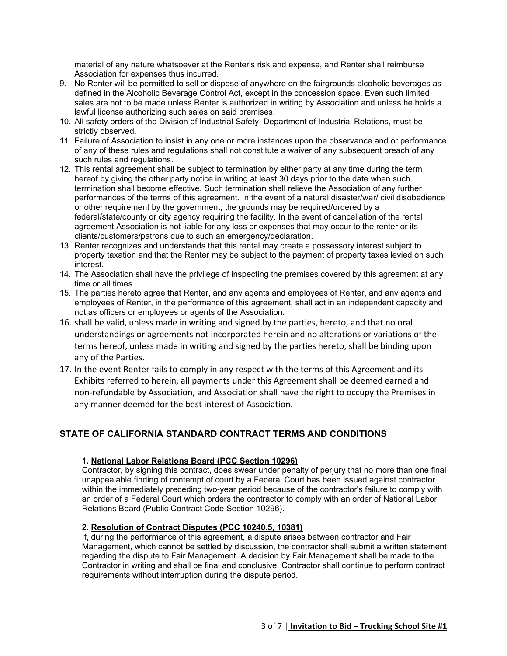material of any nature whatsoever at the Renter's risk and expense, and Renter shall reimburse Association for expenses thus incurred.

- 9. No Renter will be permitted to sell or dispose of anywhere on the fairgrounds alcoholic beverages as defined in the Alcoholic Beverage Control Act, except in the concession space. Even such limited sales are not to be made unless Renter is authorized in writing by Association and unless he holds a lawful license authorizing such sales on said premises.
- 10. All safety orders of the Division of Industrial Safety, Department of Industrial Relations, must be strictly observed.
- 11. Failure of Association to insist in any one or more instances upon the observance and or performance of any of these rules and regulations shall not constitute a waiver of any subsequent breach of any such rules and regulations.
- 12. This rental agreement shall be subject to termination by either party at any time during the term hereof by giving the other party notice in writing at least 30 days prior to the date when such termination shall become effective. Such termination shall relieve the Association of any further performances of the terms of this agreement. In the event of a natural disaster/war/ civil disobedience or other requirement by the government; the grounds may be required/ordered by a federal/state/county or city agency requiring the facility. In the event of cancellation of the rental agreement Association is not liable for any loss or expenses that may occur to the renter or its clients/customers/patrons due to such an emergency/declaration.
- 13. Renter recognizes and understands that this rental may create a possessory interest subject to property taxation and that the Renter may be subject to the payment of property taxes levied on such interest.
- 14. The Association shall have the privilege of inspecting the premises covered by this agreement at any time or all times.
- 15. The parties hereto agree that Renter, and any agents and employees of Renter, and any agents and employees of Renter, in the performance of this agreement, shall act in an independent capacity and not as officers or employees or agents of the Association.
- 16. shall be valid, unless made in writing and signed by the parties, hereto, and that no oral understandings or agreements not incorporated herein and no alterations or variations of the terms hereof, unless made in writing and signed by the parties hereto, shall be binding upon any of the Parties.
- 17. In the event Renter fails to comply in any respect with the terms of this Agreement and its Exhibits referred to herein, all payments under this Agreement shall be deemed earned and non-refundable by Association, and Association shall have the right to occupy the Premises in any manner deemed for the best interest of Association.

# **STATE OF CALIFORNIA STANDARD CONTRACT TERMS AND CONDITIONS**

#### **1. National Labor Relations Board (PCC Section 10296)**

Contractor, by signing this contract, does swear under penalty of perjury that no more than one final unappealable finding of contempt of court by a Federal Court has been issued against contractor within the immediately preceding two-year period because of the contractor's failure to comply with an order of a Federal Court which orders the contractor to comply with an order of National Labor Relations Board (Public Contract Code Section 10296).

#### **2. Resolution of Contract Disputes (PCC 10240.5, 10381)**

If, during the performance of this agreement, a dispute arises between contractor and Fair Management, which cannot be settled by discussion, the contractor shall submit a written statement regarding the dispute to Fair Management. A decision by Fair Management shall be made to the Contractor in writing and shall be final and conclusive. Contractor shall continue to perform contract requirements without interruption during the dispute period.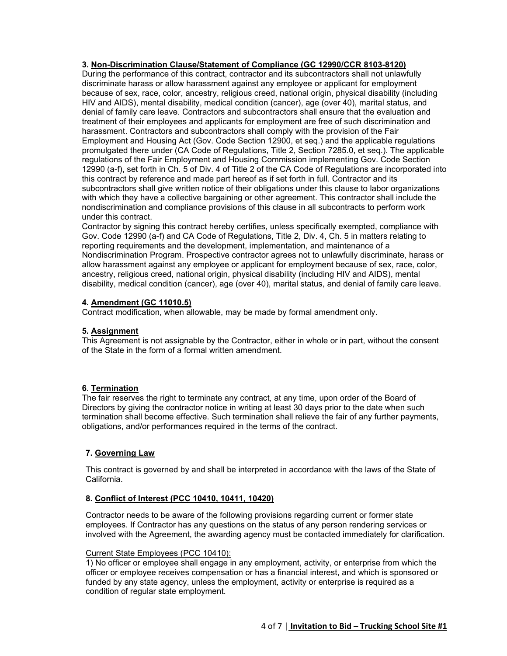#### **3. Non-Discrimination Clause/Statement of Compliance (GC 12990/CCR 8103-8120)**

During the performance of this contract, contractor and its subcontractors shall not unlawfully discriminate harass or allow harassment against any employee or applicant for employment because of sex, race, color, ancestry, religious creed, national origin, physical disability (including HIV and AIDS), mental disability, medical condition (cancer), age (over 40), marital status, and denial of family care leave. Contractors and subcontractors shall ensure that the evaluation and treatment of their employees and applicants for employment are free of such discrimination and harassment. Contractors and subcontractors shall comply with the provision of the Fair Employment and Housing Act (Gov. Code Section 12900, et seq.) and the applicable regulations promulgated there under (CA Code of Regulations, Title 2, Section 7285.0, et seq.). The applicable regulations of the Fair Employment and Housing Commission implementing Gov. Code Section 12990 (a-f), set forth in Ch. 5 of Div. 4 of Title 2 of the CA Code of Regulations are incorporated into this contract by reference and made part hereof as if set forth in full. Contractor and its subcontractors shall give written notice of their obligations under this clause to labor organizations with which they have a collective bargaining or other agreement. This contractor shall include the nondiscrimination and compliance provisions of this clause in all subcontracts to perform work under this contract.

Contractor by signing this contract hereby certifies, unless specifically exempted, compliance with Gov. Code 12990 (a-f) and CA Code of Regulations, Title 2, Div. 4, Ch. 5 in matters relating to reporting requirements and the development, implementation, and maintenance of a Nondiscrimination Program. Prospective contractor agrees not to unlawfully discriminate, harass or allow harassment against any employee or applicant for employment because of sex, race, color, ancestry, religious creed, national origin, physical disability (including HIV and AIDS), mental disability, medical condition (cancer), age (over 40), marital status, and denial of family care leave.

#### **4. Amendment (GC 11010.5)**

Contract modification, when allowable, may be made by formal amendment only.

#### **5. Assignment**

This Agreement is not assignable by the Contractor, either in whole or in part, without the consent of the State in the form of a formal written amendment.

#### **6**. **Termination**

The fair reserves the right to terminate any contract, at any time, upon order of the Board of Directors by giving the contractor notice in writing at least 30 days prior to the date when such termination shall become effective. Such termination shall relieve the fair of any further payments, obligations, and/or performances required in the terms of the contract.

#### **7. Governing Law**

This contract is governed by and shall be interpreted in accordance with the laws of the State of California.

#### **8. Conflict of Interest (PCC 10410, 10411, 10420)**

Contractor needs to be aware of the following provisions regarding current or former state employees. If Contractor has any questions on the status of any person rendering services or involved with the Agreement, the awarding agency must be contacted immediately for clarification.

#### Current State Employees (PCC 10410):

1) No officer or employee shall engage in any employment, activity, or enterprise from which the officer or employee receives compensation or has a financial interest, and which is sponsored or funded by any state agency, unless the employment, activity or enterprise is required as a condition of regular state employment.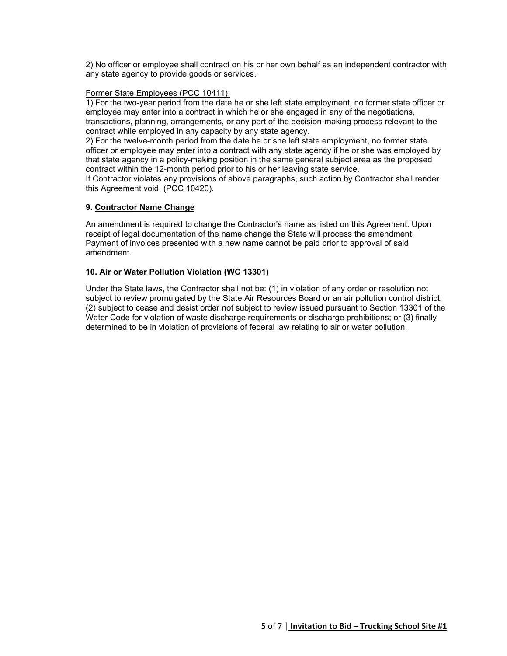2) No officer or employee shall contract on his or her own behalf as an independent contractor with any state agency to provide goods or services.

#### Former State Employees (PCC 10411):

1) For the two-year period from the date he or she left state employment, no former state officer or employee may enter into a contract in which he or she engaged in any of the negotiations, transactions, planning, arrangements, or any part of the decision-making process relevant to the contract while employed in any capacity by any state agency.

2) For the twelve-month period from the date he or she left state employment, no former state officer or employee may enter into a contract with any state agency if he or she was employed by that state agency in a policy-making position in the same general subject area as the proposed contract within the 12-month period prior to his or her leaving state service.

If Contractor violates any provisions of above paragraphs, such action by Contractor shall render this Agreement void. (PCC 10420).

#### **9. Contractor Name Change**

An amendment is required to change the Contractor's name as listed on this Agreement. Upon receipt of legal documentation of the name change the State will process the amendment. Payment of invoices presented with a new name cannot be paid prior to approval of said amendment.

#### **10. Air or Water Pollution Violation (WC 13301)**

Under the State laws, the Contractor shall not be: (1) in violation of any order or resolution not subject to review promulgated by the State Air Resources Board or an air pollution control district; (2) subject to cease and desist order not subject to review issued pursuant to Section 13301 of the Water Code for violation of waste discharge requirements or discharge prohibitions; or (3) finally determined to be in violation of provisions of federal law relating to air or water pollution.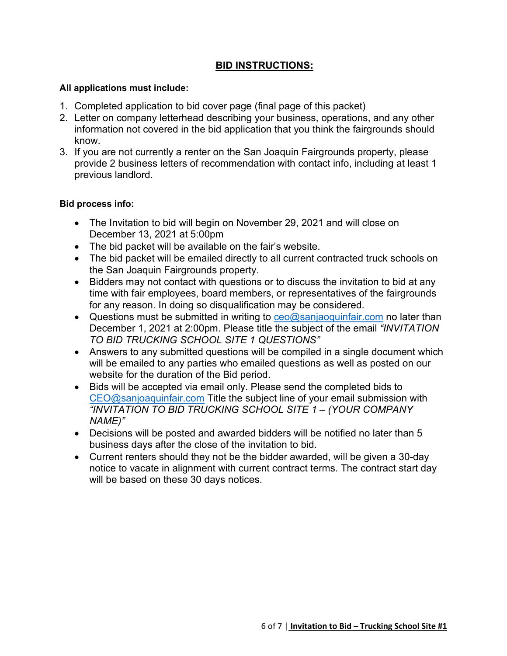# **BID INSTRUCTIONS:**

### **All applications must include:**

- 1. Completed application to bid cover page (final page of this packet)
- 2. Letter on company letterhead describing your business, operations, and any other information not covered in the bid application that you think the fairgrounds should know.
- 3. If you are not currently a renter on the San Joaquin Fairgrounds property, please provide 2 business letters of recommendation with contact info, including at least 1 previous landlord.

# **Bid process info:**

- The Invitation to bid will begin on November 29, 2021 and will close on December 13, 2021 at 5:00pm
- The bid packet will be available on the fair's website.
- The bid packet will be emailed directly to all current contracted truck schools on the San Joaquin Fairgrounds property.
- Bidders may not contact with questions or to discuss the invitation to bid at any time with fair employees, board members, or representatives of the fairgrounds for any reason. In doing so disqualification may be considered.
- Questions must be submitted in writing to  $ceo@saniaoquinfair.com$  no later than December 1, 2021 at 2:00pm. Please title the subject of the email *"INVITATION TO BID TRUCKING SCHOOL SITE 1 QUESTIONS"*
- Answers to any submitted questions will be compiled in a single document which will be emailed to any parties who emailed questions as well as posted on our website for the duration of the Bid period.
- Bids will be accepted via email only. Please send the completed bids to [CEO@sanjoaquinfair.com](mailto:CEO@sanjoaquinfair.com) Title the subject line of your email submission with *"INVITATION TO BID TRUCKING SCHOOL SITE 1 – (YOUR COMPANY NAME)"*
- Decisions will be posted and awarded bidders will be notified no later than 5 business days after the close of the invitation to bid.
- Current renters should they not be the bidder awarded, will be given a 30-day notice to vacate in alignment with current contract terms. The contract start day will be based on these 30 days notices.